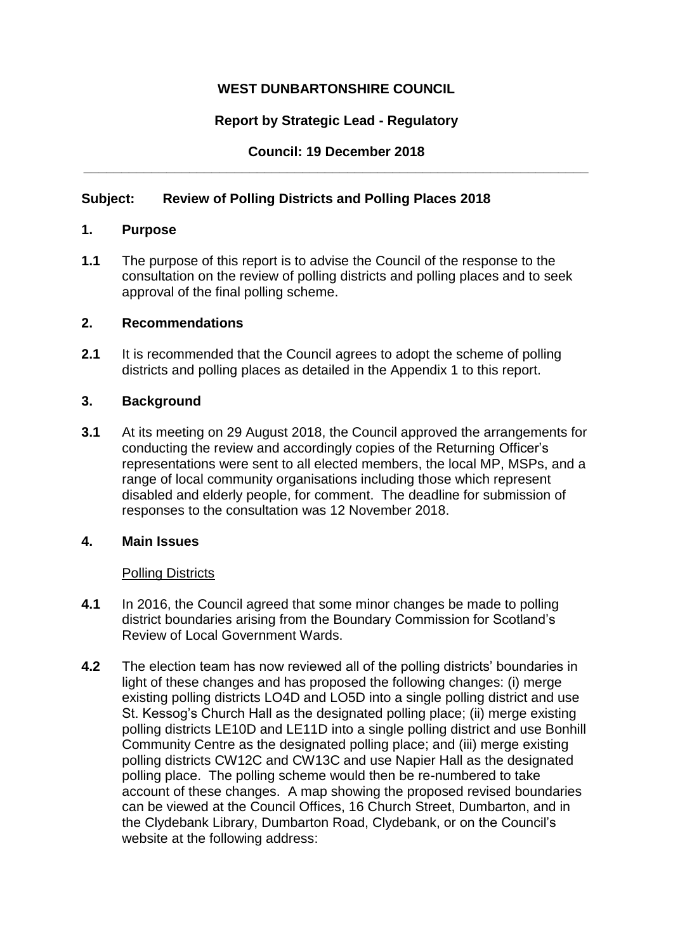# **WEST DUNBARTONSHIRE COUNCIL**

# **Report by Strategic Lead - Regulatory**

## **Council: 19 December 2018 \_\_\_\_\_\_\_\_\_\_\_\_\_\_\_\_\_\_\_\_\_\_\_\_\_\_\_\_\_\_\_\_\_\_\_\_\_\_\_\_\_\_\_\_\_\_\_\_\_\_\_\_\_\_\_\_\_\_\_\_\_\_\_\_\_\_\_**

## **Subject: Review of Polling Districts and Polling Places 2018**

### **1. Purpose**

**1.1** The purpose of this report is to advise the Council of the response to the consultation on the review of polling districts and polling places and to seek approval of the final polling scheme.

### **2. Recommendations**

**2.1** It is recommended that the Council agrees to adopt the scheme of polling districts and polling places as detailed in the Appendix 1 to this report.

### **3. Background**

**3.1** At its meeting on 29 August 2018, the Council approved the arrangements for conducting the review and accordingly copies of the Returning Officer's representations were sent to all elected members, the local MP, MSPs, and a range of local community organisations including those which represent disabled and elderly people, for comment. The deadline for submission of responses to the consultation was 12 November 2018.

### **4. Main Issues**

### Polling Districts

- **4.1** In 2016, the Council agreed that some minor changes be made to polling district boundaries arising from the Boundary Commission for Scotland's Review of Local Government Wards.
- **4.2** The election team has now reviewed all of the polling districts' boundaries in light of these changes and has proposed the following changes: (i) merge existing polling districts LO4D and LO5D into a single polling district and use St. Kessog's Church Hall as the designated polling place; (ii) merge existing polling districts LE10D and LE11D into a single polling district and use Bonhill Community Centre as the designated polling place; and (iii) merge existing polling districts CW12C and CW13C and use Napier Hall as the designated polling place. The polling scheme would then be re-numbered to take account of these changes. A map showing the proposed revised boundaries can be viewed at the Council Offices, 16 Church Street, Dumbarton, and in the Clydebank Library, Dumbarton Road, Clydebank, or on the Council's website at the following address: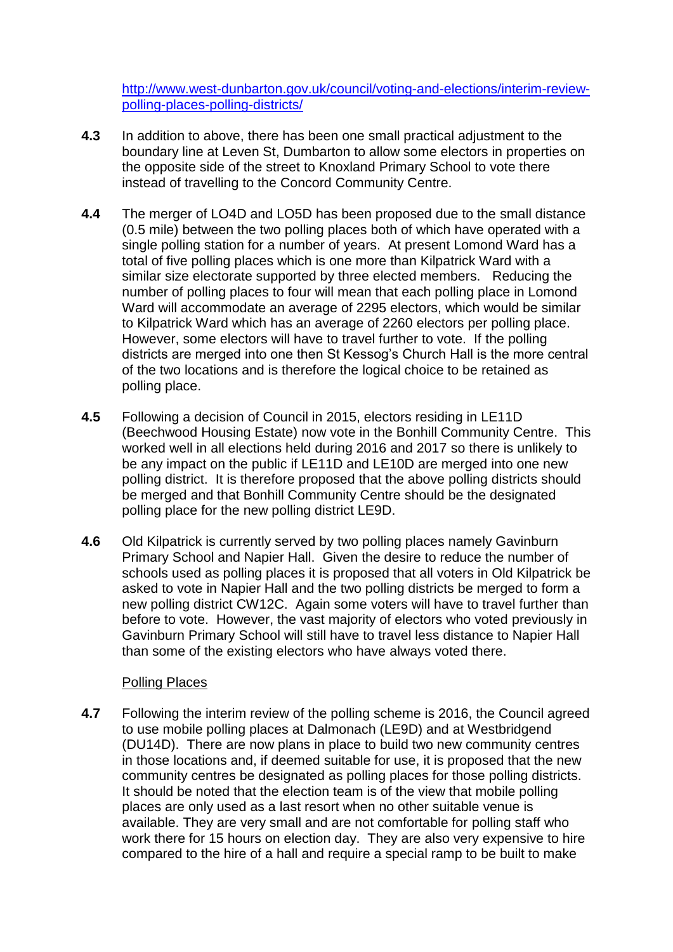[http://www.west-dunbarton.gov.uk/council/voting-and-elections/interim-review](http://www.west-dunbarton.gov.uk/council/voting-and-elections/interim-review-polling-places-polling-districts/)[polling-places-polling-districts/](http://www.west-dunbarton.gov.uk/council/voting-and-elections/interim-review-polling-places-polling-districts/)

- **4.3** In addition to above, there has been one small practical adjustment to the boundary line at Leven St, Dumbarton to allow some electors in properties on the opposite side of the street to Knoxland Primary School to vote there instead of travelling to the Concord Community Centre.
- **4.4** The merger of LO4D and LO5D has been proposed due to the small distance (0.5 mile) between the two polling places both of which have operated with a single polling station for a number of years. At present Lomond Ward has a total of five polling places which is one more than Kilpatrick Ward with a similar size electorate supported by three elected members. Reducing the number of polling places to four will mean that each polling place in Lomond Ward will accommodate an average of 2295 electors, which would be similar to Kilpatrick Ward which has an average of 2260 electors per polling place. However, some electors will have to travel further to vote. If the polling districts are merged into one then St Kessog's Church Hall is the more central of the two locations and is therefore the logical choice to be retained as polling place.
- **4.5** Following a decision of Council in 2015, electors residing in LE11D (Beechwood Housing Estate) now vote in the Bonhill Community Centre. This worked well in all elections held during 2016 and 2017 so there is unlikely to be any impact on the public if LE11D and LE10D are merged into one new polling district. It is therefore proposed that the above polling districts should be merged and that Bonhill Community Centre should be the designated polling place for the new polling district LE9D.
- **4.6** Old Kilpatrick is currently served by two polling places namely Gavinburn Primary School and Napier Hall. Given the desire to reduce the number of schools used as polling places it is proposed that all voters in Old Kilpatrick be asked to vote in Napier Hall and the two polling districts be merged to form a new polling district CW12C. Again some voters will have to travel further than before to vote. However, the vast majority of electors who voted previously in Gavinburn Primary School will still have to travel less distance to Napier Hall than some of the existing electors who have always voted there.

### Polling Places

**4.7** Following the interim review of the polling scheme is 2016, the Council agreed to use mobile polling places at Dalmonach (LE9D) and at Westbridgend (DU14D). There are now plans in place to build two new community centres in those locations and, if deemed suitable for use, it is proposed that the new community centres be designated as polling places for those polling districts. It should be noted that the election team is of the view that mobile polling places are only used as a last resort when no other suitable venue is available. They are very small and are not comfortable for polling staff who work there for 15 hours on election day. They are also very expensive to hire compared to the hire of a hall and require a special ramp to be built to make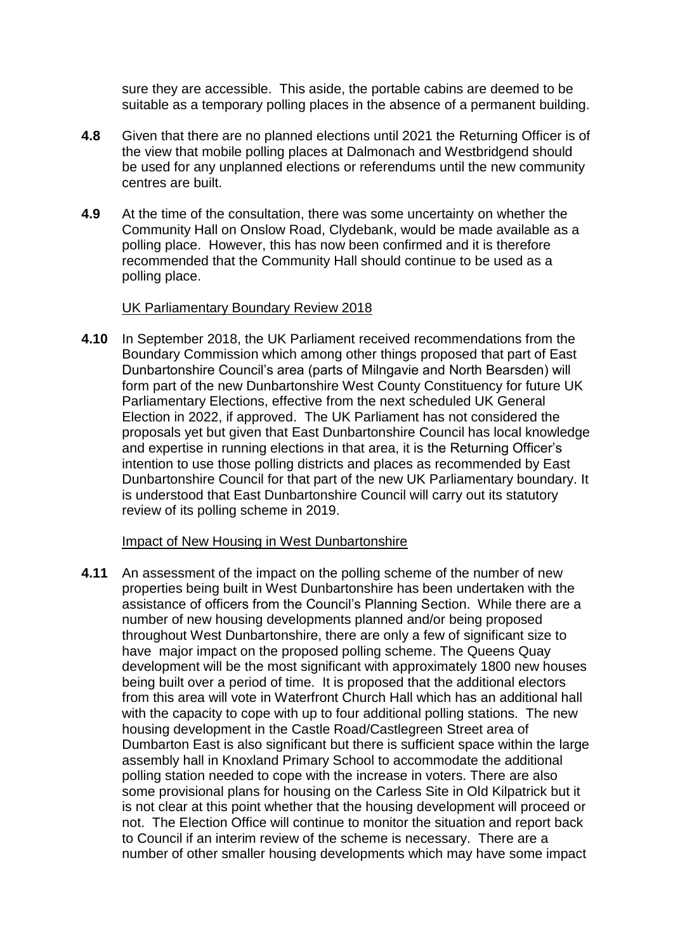sure they are accessible. This aside, the portable cabins are deemed to be suitable as a temporary polling places in the absence of a permanent building.

- **4.8** Given that there are no planned elections until 2021 the Returning Officer is of the view that mobile polling places at Dalmonach and Westbridgend should be used for any unplanned elections or referendums until the new community centres are built.
- **4.9** At the time of the consultation, there was some uncertainty on whether the Community Hall on Onslow Road, Clydebank, would be made available as a polling place. However, this has now been confirmed and it is therefore recommended that the Community Hall should continue to be used as a polling place.

#### UK Parliamentary Boundary Review 2018

**4.10** In September 2018, the UK Parliament received recommendations from the Boundary Commission which among other things proposed that part of East Dunbartonshire Council's area (parts of Milngavie and North Bearsden) will form part of the new Dunbartonshire West County Constituency for future UK Parliamentary Elections, effective from the next scheduled UK General Election in 2022, if approved. The UK Parliament has not considered the proposals yet but given that East Dunbartonshire Council has local knowledge and expertise in running elections in that area, it is the Returning Officer's intention to use those polling districts and places as recommended by East Dunbartonshire Council for that part of the new UK Parliamentary boundary. It is understood that East Dunbartonshire Council will carry out its statutory review of its polling scheme in 2019.

### Impact of New Housing in West Dunbartonshire

**4.11** An assessment of the impact on the polling scheme of the number of new properties being built in West Dunbartonshire has been undertaken with the assistance of officers from the Council's Planning Section. While there are a number of new housing developments planned and/or being proposed throughout West Dunbartonshire, there are only a few of significant size to have major impact on the proposed polling scheme. The Queens Quay development will be the most significant with approximately 1800 new houses being built over a period of time. It is proposed that the additional electors from this area will vote in Waterfront Church Hall which has an additional hall with the capacity to cope with up to four additional polling stations. The new housing development in the Castle Road/Castlegreen Street area of Dumbarton East is also significant but there is sufficient space within the large assembly hall in Knoxland Primary School to accommodate the additional polling station needed to cope with the increase in voters. There are also some provisional plans for housing on the Carless Site in Old Kilpatrick but it is not clear at this point whether that the housing development will proceed or not. The Election Office will continue to monitor the situation and report back to Council if an interim review of the scheme is necessary. There are a number of other smaller housing developments which may have some impact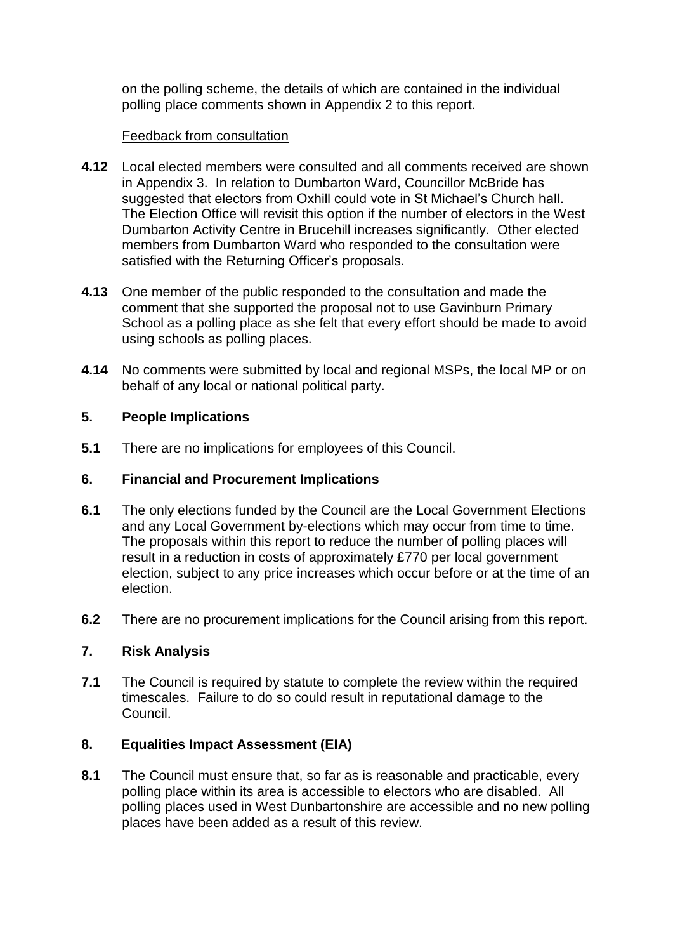on the polling scheme, the details of which are contained in the individual polling place comments shown in Appendix 2 to this report.

### Feedback from consultation

- **4.12** Local elected members were consulted and all comments received are shown in Appendix 3. In relation to Dumbarton Ward, Councillor McBride has suggested that electors from Oxhill could vote in St Michael's Church hall. The Election Office will revisit this option if the number of electors in the West Dumbarton Activity Centre in Brucehill increases significantly. Other elected members from Dumbarton Ward who responded to the consultation were satisfied with the Returning Officer's proposals.
- **4.13** One member of the public responded to the consultation and made the comment that she supported the proposal not to use Gavinburn Primary School as a polling place as she felt that every effort should be made to avoid using schools as polling places.
- **4.14** No comments were submitted by local and regional MSPs, the local MP or on behalf of any local or national political party.

## **5. People Implications**

**5.1** There are no implications for employees of this Council.

## **6. Financial and Procurement Implications**

- **6.1** The only elections funded by the Council are the Local Government Elections and any Local Government by-elections which may occur from time to time. The proposals within this report to reduce the number of polling places will result in a reduction in costs of approximately £770 per local government election, subject to any price increases which occur before or at the time of an election.
- **6.2** There are no procurement implications for the Council arising from this report.

# **7. Risk Analysis**

**7.1** The Council is required by statute to complete the review within the required timescales. Failure to do so could result in reputational damage to the Council.

# **8. Equalities Impact Assessment (EIA)**

**8.1** The Council must ensure that, so far as is reasonable and practicable, every polling place within its area is accessible to electors who are disabled. All polling places used in West Dunbartonshire are accessible and no new polling places have been added as a result of this review.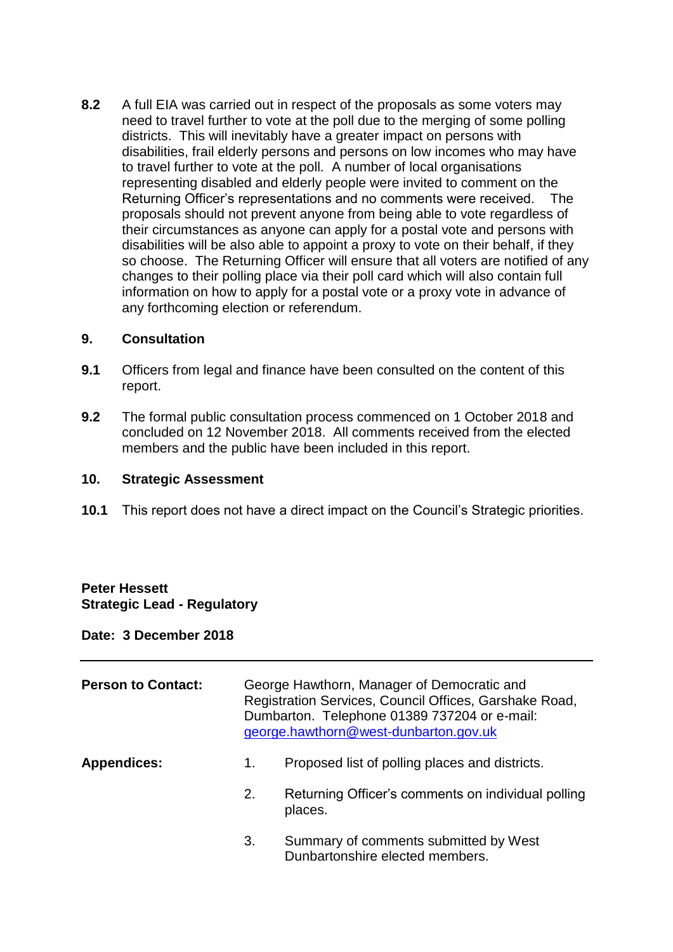**8.2** A full EIA was carried out in respect of the proposals as some voters may need to travel further to vote at the poll due to the merging of some polling districts. This will inevitably have a greater impact on persons with disabilities, frail elderly persons and persons on low incomes who may have to travel further to vote at the poll. A number of local organisations representing disabled and elderly people were invited to comment on the Returning Officer's representations and no comments were received. The proposals should not prevent anyone from being able to vote regardless of their circumstances as anyone can apply for a postal vote and persons with disabilities will be also able to appoint a proxy to vote on their behalf, if they so choose. The Returning Officer will ensure that all voters are notified of any changes to their polling place via their poll card which will also contain full information on how to apply for a postal vote or a proxy vote in advance of any forthcoming election or referendum.

#### **9. Consultation**

- **9.1** Officers from legal and finance have been consulted on the content of this report.
- **9.2** The formal public consultation process commenced on 1 October 2018 and concluded on 12 November 2018. All comments received from the elected members and the public have been included in this report.

#### **10. Strategic Assessment**

**10.1** This report does not have a direct impact on the Council's Strategic priorities.

### **Peter Hessett Strategic Lead - Regulatory**

### **Date: 3 December 2018**

| <b>Person to Contact:</b> | George Hawthorn, Manager of Democratic and<br>Registration Services, Council Offices, Garshake Road,<br>Dumbarton. Telephone 01389 737204 or e-mail:<br>george.hawthorn@west-dunbarton.gov.uk |                                                                          |
|---------------------------|-----------------------------------------------------------------------------------------------------------------------------------------------------------------------------------------------|--------------------------------------------------------------------------|
| <b>Appendices:</b>        | 1.                                                                                                                                                                                            | Proposed list of polling places and districts.                           |
|                           | 2.                                                                                                                                                                                            | Returning Officer's comments on individual polling<br>places.            |
|                           | 3.                                                                                                                                                                                            | Summary of comments submitted by West<br>Dunbartonshire elected members. |